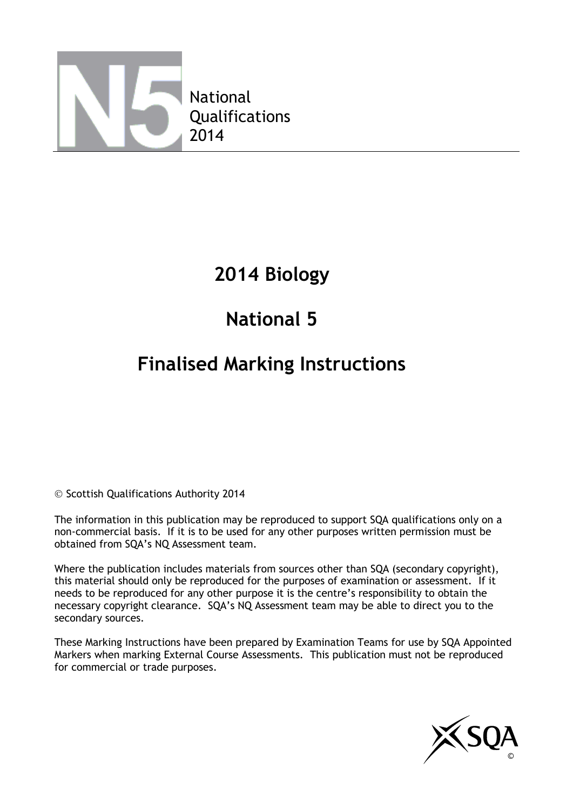

## **2014 Biology**

# **National 5**

## **Finalised Marking Instructions**

© Scottish Qualifications Authority 2014

The information in this publication may be reproduced to support SQA qualifications only on a non-commercial basis. If it is to be used for any other purposes written permission must be obtained from SQA's NQ Assessment team.

Where the publication includes materials from sources other than SQA (secondary copyright), this material should only be reproduced for the purposes of examination or assessment. If it needs to be reproduced for any other purpose it is the centre's responsibility to obtain the necessary copyright clearance. SQA's NQ Assessment team may be able to direct you to the secondary sources.

These Marking Instructions have been prepared by Examination Teams for use by SQA Appointed Markers when marking External Course Assessments. This publication must not be reproduced for commercial or trade purposes.

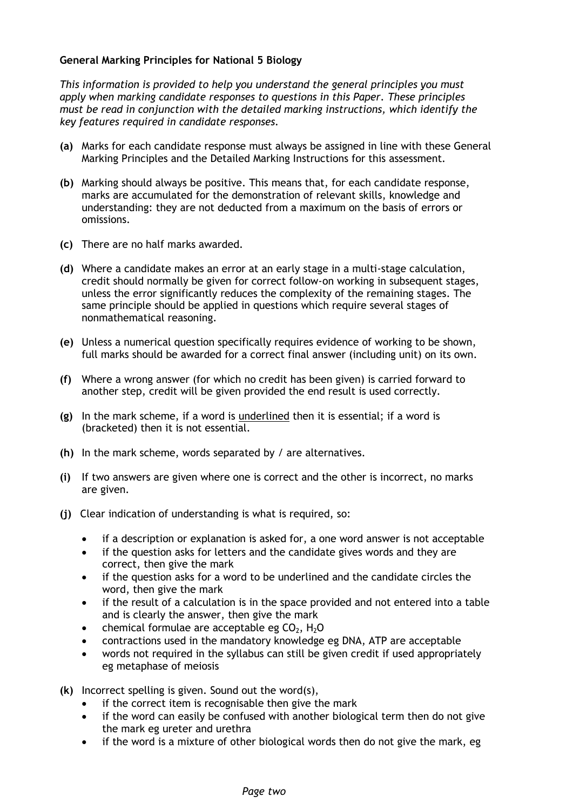#### **General Marking Principles for National 5 Biology**

*This information is provided to help you understand the general principles you must apply when marking candidate responses to questions in this Paper. These principles must be read in conjunction with the detailed marking instructions, which identify the key features required in candidate responses.*

- **(a)** Marks for each candidate response must always be assigned in line with these General Marking Principles and the Detailed Marking Instructions for this assessment.
- **(b)** Marking should always be positive. This means that, for each candidate response, marks are accumulated for the demonstration of relevant skills, knowledge and understanding: they are not deducted from a maximum on the basis of errors or omissions.
- **(c)** There are no half marks awarded.
- **(d)** Where a candidate makes an error at an early stage in a multi-stage calculation, credit should normally be given for correct follow-on working in subsequent stages, unless the error significantly reduces the complexity of the remaining stages. The same principle should be applied in questions which require several stages of nonmathematical reasoning.
- **(e)** Unless a numerical question specifically requires evidence of working to be shown, full marks should be awarded for a correct final answer (including unit) on its own.
- **(f)** Where a wrong answer (for which no credit has been given) is carried forward to another step, credit will be given provided the end result is used correctly.
- **(g)** In the mark scheme, if a word is underlined then it is essential; if a word is (bracketed) then it is not essential.
- **(h)** In the mark scheme, words separated by / are alternatives.
- **(i)** If two answers are given where one is correct and the other is incorrect, no marks are given.
- **(j)** Clear indication of understanding is what is required, so:
	- if a description or explanation is asked for, a one word answer is not acceptable
	- if the question asks for letters and the candidate gives words and they are correct, then give the mark
	- if the question asks for a word to be underlined and the candidate circles the word, then give the mark
	- if the result of a calculation is in the space provided and not entered into a table and is clearly the answer, then give the mark
	- chemical formulae are acceptable eg  $CO<sub>2</sub>$ , H<sub>2</sub>O
	- contractions used in the mandatory knowledge eg DNA, ATP are acceptable
	- words not required in the syllabus can still be given credit if used appropriately eg metaphase of meiosis
- **(k)** Incorrect spelling is given. Sound out the word(s),
	- if the correct item is recognisable then give the mark
	- if the word can easily be confused with another biological term then do not give the mark eg ureter and urethra
	- if the word is a mixture of other biological words then do not give the mark, eg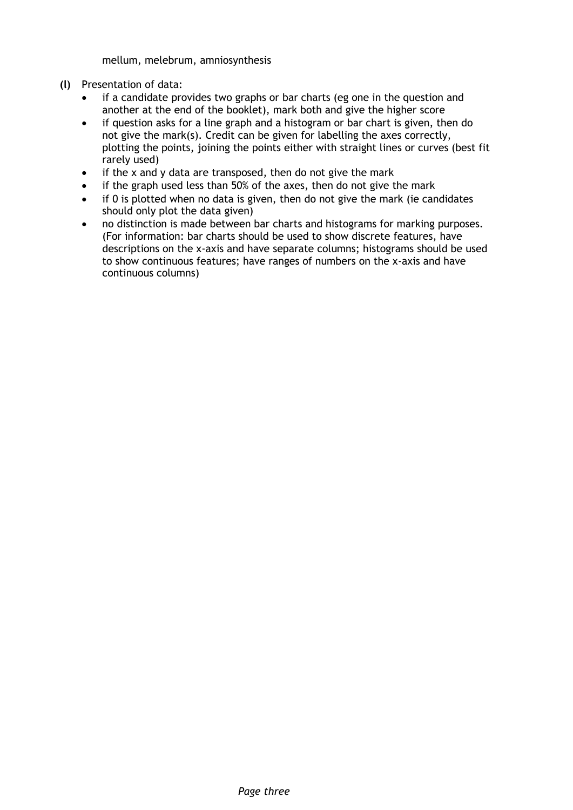mellum, melebrum, amniosynthesis

- **(l)** Presentation of data:
	- if a candidate provides two graphs or bar charts (eg one in the question and another at the end of the booklet), mark both and give the higher score
	- if question asks for a line graph and a histogram or bar chart is given, then do not give the mark(s). Credit can be given for labelling the axes correctly, plotting the points, joining the points either with straight lines or curves (best fit rarely used)
	- $\bullet$  if the x and y data are transposed, then do not give the mark
	- if the graph used less than 50% of the axes, then do not give the mark
	- if 0 is plotted when no data is given, then do not give the mark (ie candidates should only plot the data given)
	- no distinction is made between bar charts and histograms for marking purposes. (For information: bar charts should be used to show discrete features, have descriptions on the x-axis and have separate columns; histograms should be used to show continuous features; have ranges of numbers on the x-axis and have continuous columns)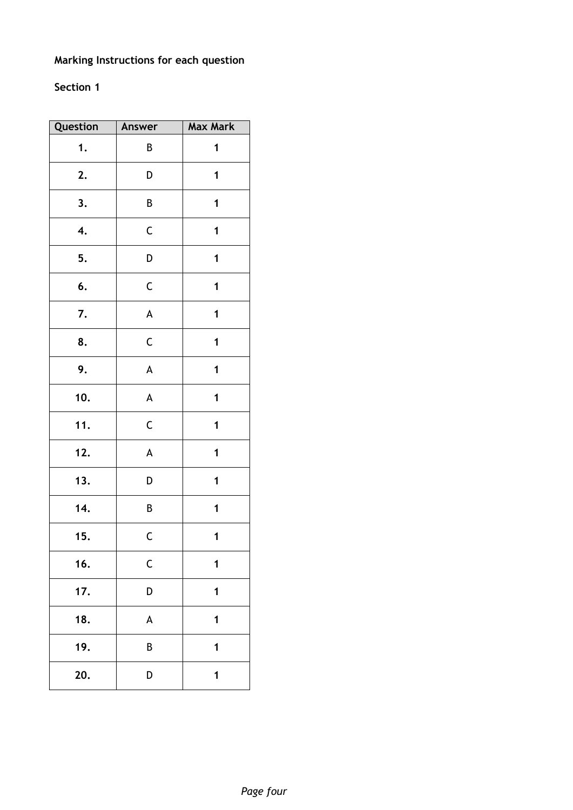## **Marking Instructions for each question**

### **Section 1**

| Question | Answer                    | <b>Max Mark</b> |
|----------|---------------------------|-----------------|
| 1.       | B                         | 1               |
| 2.       | D                         | 1               |
| 3.       | B                         | 1               |
| 4.       | $\mathsf C$               | 1               |
| 5.       | D                         | 1               |
| 6.       | $\mathsf C$               | 1               |
| 7.       | $\boldsymbol{\mathsf{A}}$ | $\mathbf 1$     |
| 8.       | $\mathsf C$               | 1               |
| 9.       | $\boldsymbol{\mathsf{A}}$ | 1               |
| 10.      | $\boldsymbol{\mathsf{A}}$ | 1               |
| 11.      | $\mathsf C$               | 1               |
| 12.      | $\boldsymbol{\mathsf{A}}$ | 1               |
| 13.      | D                         | 1               |
| 14.      | В                         | 1               |
| 15.      | $\mathsf{C}$              | 1               |
| 16.      | $\mathsf C$               | 1               |
| 17.      | D                         | 1               |
| 18.      | A                         | 1               |
| 19.      | B                         | 1               |
| 20.      | D                         | 1               |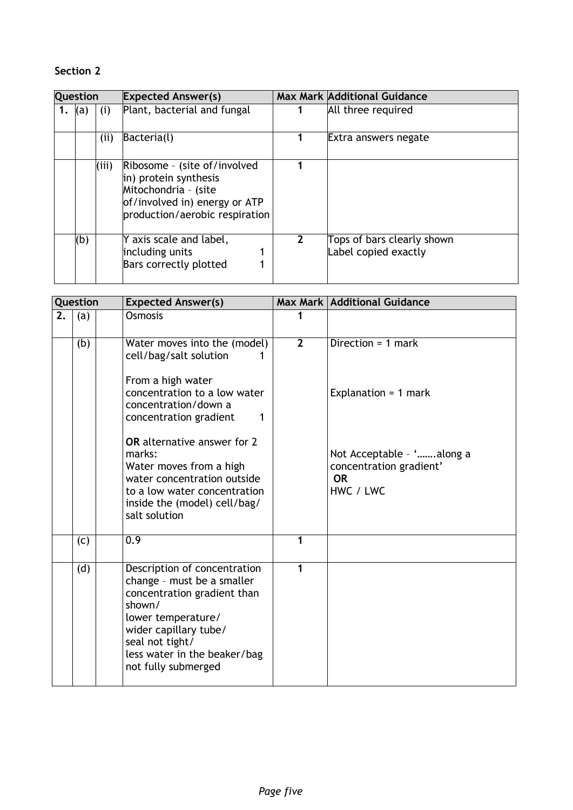### **Section 2**

| Question |     |       | <b>Expected Answer(s)</b>                                                                                                                        |   | <b>Max Mark Additional Guidance</b>                |
|----------|-----|-------|--------------------------------------------------------------------------------------------------------------------------------------------------|---|----------------------------------------------------|
| 1.       | (a) | (i)   | Plant, bacterial and fungal                                                                                                                      |   | All three required                                 |
|          |     | (i)   | Bacteria(l)                                                                                                                                      |   | Extra answers negate                               |
|          |     | (iii) | Ribosome - (site of/involved<br>in) protein synthesis<br>Mitochondria - (site<br>of/involved in) energy or ATP<br>production/aerobic respiration |   |                                                    |
|          | (b) |       | Y axis scale and label,<br>including units<br>Bars correctly plotted                                                                             | 2 | Tops of bars clearly shown<br>Label copied exactly |

|    | Question | <b>Expected Answer(s)</b>                                                                                                                                                                                                    |                | <b>Max Mark Additional Guidance</b>                                            |
|----|----------|------------------------------------------------------------------------------------------------------------------------------------------------------------------------------------------------------------------------------|----------------|--------------------------------------------------------------------------------|
| 2. | (a)      | <b>Osmosis</b>                                                                                                                                                                                                               |                |                                                                                |
|    | (b)      | Water moves into the (model)<br>cell/bag/salt solution<br>From a high water<br>concentration to a low water<br>concentration/down a<br>concentration gradient<br>1<br>OR alternative answer for 2                            | $\overline{2}$ | Direction = $1$ mark<br>Explanation = $1$ mark                                 |
|    |          | marks:<br>Water moves from a high<br>water concentration outside<br>to a low water concentration<br>inside the (model) cell/bag/<br>salt solution                                                                            |                | Not Acceptable - 'along a<br>concentration gradient'<br><b>OR</b><br>HWC / LWC |
|    | (c)      | 0.9                                                                                                                                                                                                                          | 1              |                                                                                |
|    | (d)      | Description of concentration<br>change - must be a smaller<br>concentration gradient than<br>shown/<br>lower temperature/<br>wider capillary tube/<br>seal not tight/<br>less water in the beaker/bag<br>not fully submerged | 1              |                                                                                |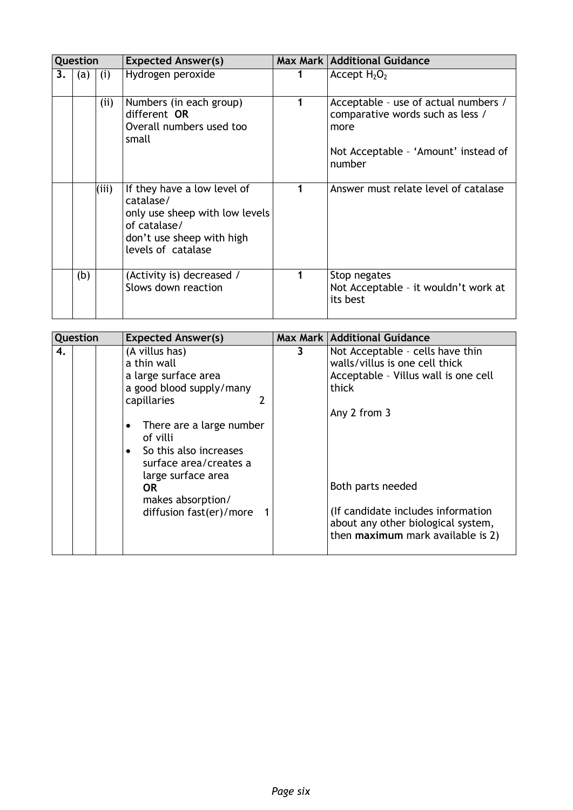| Question<br><b>Expected Answer(s)</b> |     |       |                                                                                                                                               | <b>Max Mark   Additional Guidance</b> |                                                                                                                          |
|---------------------------------------|-----|-------|-----------------------------------------------------------------------------------------------------------------------------------------------|---------------------------------------|--------------------------------------------------------------------------------------------------------------------------|
| 3.                                    | (a) | (i)   | Hydrogen peroxide                                                                                                                             |                                       | Accept $H_2O_2$                                                                                                          |
|                                       |     | (i)   | Numbers (in each group)<br>different OR<br>Overall numbers used too<br>small                                                                  | 1                                     | Acceptable - use of actual numbers /<br>comparative words such as less /<br>more<br>Not Acceptable - 'Amount' instead of |
|                                       |     |       |                                                                                                                                               |                                       | number                                                                                                                   |
|                                       |     | (iii) | If they have a low level of<br>catalase/<br>only use sheep with low levels<br>of catalase/<br>don't use sheep with high<br>levels of catalase |                                       | Answer must relate level of catalase                                                                                     |
|                                       | (b) |       | (Activity is) decreased /<br>Slows down reaction                                                                                              |                                       | Stop negates<br>Not Acceptable - it wouldn't work at<br>its best                                                         |

| Question | <b>Expected Answer(s)</b>                                                                                                                                                                                                                                                                          |   | Max Mark   Additional Guidance                                                                                                                                                                                                                                             |
|----------|----------------------------------------------------------------------------------------------------------------------------------------------------------------------------------------------------------------------------------------------------------------------------------------------------|---|----------------------------------------------------------------------------------------------------------------------------------------------------------------------------------------------------------------------------------------------------------------------------|
| 4.       | (A villus has)<br>a thin wall<br>a large surface area<br>a good blood supply/many<br>capillaries<br>There are a large number<br>$\bullet$<br>of villi<br>So this also increases<br>$\bullet$<br>surface area/creates a<br>large surface area<br>0R<br>makes absorption/<br>diffusion fast(er)/more | 3 | Not Acceptable - cells have thin<br>walls/villus is one cell thick<br>Acceptable - Villus wall is one cell<br>thick<br>Any 2 from 3<br>Both parts needed<br>(If candidate includes information)<br>about any other biological system,<br>then maximum mark available is 2) |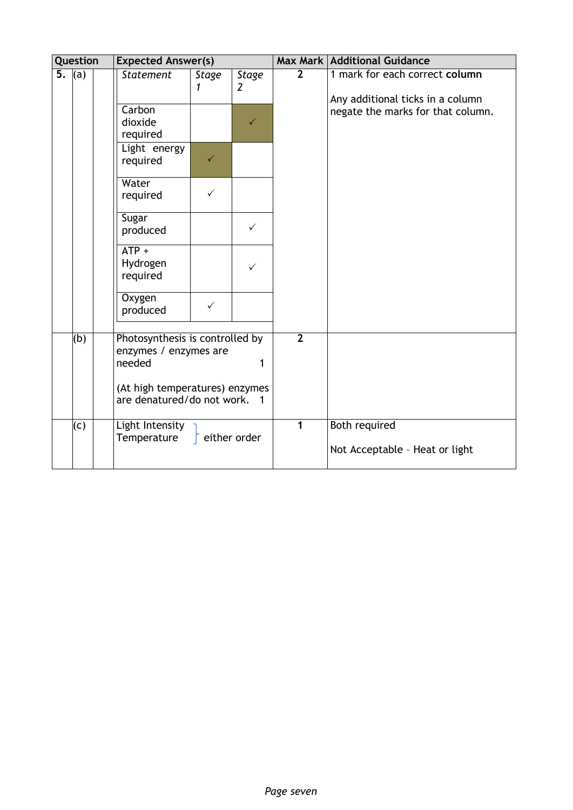|    | Question | <b>Expected Answer(s)</b>                                               |              |                   |                | Max Mark   Additional Guidance                                     |
|----|----------|-------------------------------------------------------------------------|--------------|-------------------|----------------|--------------------------------------------------------------------|
| 5. | (a)      | <b>Statement</b>                                                        | Stage<br>1   | <b>Stage</b><br>2 | $\overline{2}$ | 1 mark for each correct column<br>Any additional ticks in a column |
|    |          | Carbon<br>dioxide<br>required                                           |              | $\checkmark$      |                | negate the marks for that column.                                  |
|    |          | Light energy<br>required                                                | $\checkmark$ |                   |                |                                                                    |
|    |          | Water<br>required                                                       | $\checkmark$ |                   |                |                                                                    |
|    |          | Sugar<br>produced                                                       |              | $\checkmark$      |                |                                                                    |
|    |          | $ATP +$<br>Hydrogen<br>required                                         |              | $\checkmark$      |                |                                                                    |
|    |          | Oxygen<br>produced                                                      | $\checkmark$ |                   |                |                                                                    |
|    | (b)      | Photosynthesis is controlled by<br>enzymes / enzymes are<br>needed<br>1 |              | $\overline{2}$    |                |                                                                    |
|    |          | (At high temperatures) enzymes<br>are denatured/do not work. 1          |              |                   |                |                                                                    |
|    | (c)      | Light Intensity<br>Temperature                                          |              | either order      | $\mathbf{1}$   | Both required<br>Not Acceptable - Heat or light                    |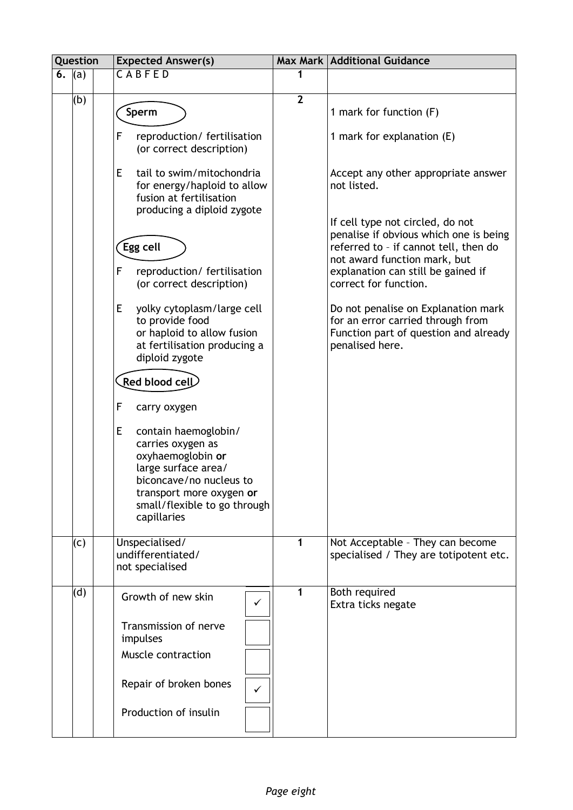| Question |     | <b>Expected Answer(s)</b>                                                                                                                                                                        |                | Max Mark   Additional Guidance                                                                                                       |  |
|----------|-----|--------------------------------------------------------------------------------------------------------------------------------------------------------------------------------------------------|----------------|--------------------------------------------------------------------------------------------------------------------------------------|--|
| 6.       | (a) | CABFED                                                                                                                                                                                           | 1              |                                                                                                                                      |  |
|          | (b) | Sperm                                                                                                                                                                                            | $\overline{2}$ | 1 mark for function (F)                                                                                                              |  |
|          |     | F<br>reproduction/ fertilisation<br>(or correct description)                                                                                                                                     |                | 1 mark for explanation (E)                                                                                                           |  |
|          |     | E.<br>tail to swim/mitochondria<br>for energy/haploid to allow<br>fusion at fertilisation<br>producing a diploid zygote                                                                          |                | Accept any other appropriate answer<br>not listed.                                                                                   |  |
|          |     |                                                                                                                                                                                                  |                | If cell type not circled, do not<br>penalise if obvious which one is being                                                           |  |
|          |     | Egg cell                                                                                                                                                                                         |                | referred to - if cannot tell, then do<br>not award function mark, but                                                                |  |
|          |     | F<br>reproduction/ fertilisation<br>(or correct description)                                                                                                                                     |                | explanation can still be gained if<br>correct for function.                                                                          |  |
|          |     | E<br>yolky cytoplasm/large cell<br>to provide food<br>or haploid to allow fusion<br>at fertilisation producing a<br>diploid zygote                                                               |                | Do not penalise on Explanation mark<br>for an error carried through from<br>Function part of question and already<br>penalised here. |  |
|          |     | Red blood cell                                                                                                                                                                                   |                |                                                                                                                                      |  |
|          |     | F<br>carry oxygen                                                                                                                                                                                |                |                                                                                                                                      |  |
|          |     | E<br>contain haemoglobin/<br>carries oxygen as<br>oxyhaemoglobin or<br>large surface area/<br>biconcave/no nucleus to<br>transport more oxygen or<br>small/flexible to go through<br>capillaries |                |                                                                                                                                      |  |
|          | (c) | Unspecialised/<br>undifferentiated/<br>not specialised                                                                                                                                           | 1              | Not Acceptable - They can become<br>specialised / They are totipotent etc.                                                           |  |
|          | (d) | Growth of new skin<br>$\checkmark$                                                                                                                                                               | 1              | Both required<br>Extra ticks negate                                                                                                  |  |
|          |     | Transmission of nerve<br>impulses                                                                                                                                                                |                |                                                                                                                                      |  |
|          |     | Muscle contraction                                                                                                                                                                               |                |                                                                                                                                      |  |
|          |     | Repair of broken bones<br>✓                                                                                                                                                                      |                |                                                                                                                                      |  |
|          |     | Production of insulin                                                                                                                                                                            |                |                                                                                                                                      |  |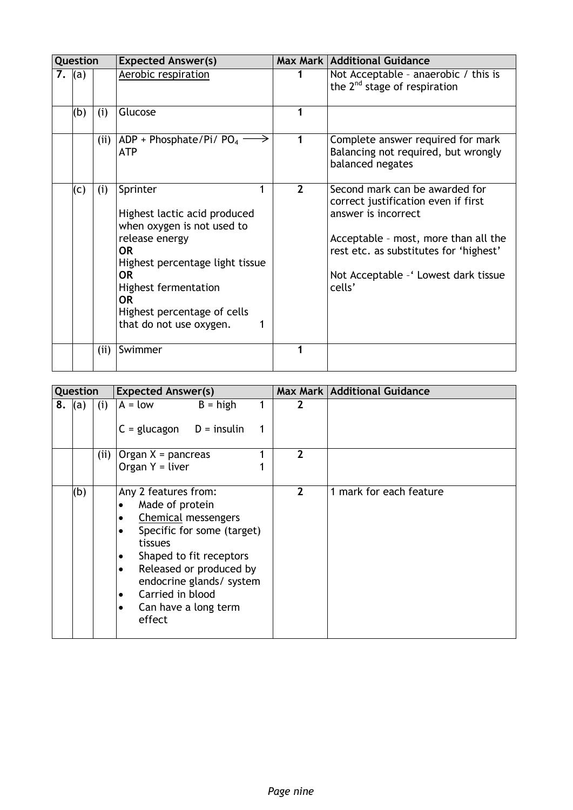|    | Question |      | <b>Expected Answer(s)</b>                                                                                                                                                                                                                                   |                | Max Mark   Additional Guidance                                                                                                                                                                                                    |
|----|----------|------|-------------------------------------------------------------------------------------------------------------------------------------------------------------------------------------------------------------------------------------------------------------|----------------|-----------------------------------------------------------------------------------------------------------------------------------------------------------------------------------------------------------------------------------|
| 7. | (a)      |      | Aerobic respiration                                                                                                                                                                                                                                         |                | Not Acceptable - anaerobic / this is<br>the $2^{nd}$ stage of respiration                                                                                                                                                         |
|    | (b)      | (i)  | Glucose                                                                                                                                                                                                                                                     |                |                                                                                                                                                                                                                                   |
|    |          | (ii) | ADP + Phosphate/Pi/ $PO4$<br><b>ATP</b>                                                                                                                                                                                                                     |                | Complete answer required for mark<br>Balancing not required, but wrongly<br>balanced negates                                                                                                                                      |
|    | (c)      | (i)  | Sprinter<br>Highest lactic acid produced<br>when oxygen is not used to<br>release energy<br><b>OR</b><br>Highest percentage light tissue<br><b>OR</b><br><b>Highest fermentation</b><br><b>OR</b><br>Highest percentage of cells<br>that do not use oxygen. | $\overline{2}$ | Second mark can be awarded for<br>correct justification even if first<br>answer is incorrect<br>Acceptable - most, more than all the<br>rest etc. as substitutes for 'highest'<br>Not Acceptable - ' Lowest dark tissue<br>cells' |
|    |          | (i)  | Swimmer                                                                                                                                                                                                                                                     |                |                                                                                                                                                                                                                                   |

| Question<br><b>Expected Answer(s)</b> |     |      | Max Mark   Additional Guidance                                                                                                                                                                                                                                                                                                     |                |                         |
|---------------------------------------|-----|------|------------------------------------------------------------------------------------------------------------------------------------------------------------------------------------------------------------------------------------------------------------------------------------------------------------------------------------|----------------|-------------------------|
| 8.                                    | (a) | (i)  | $A = low$<br>$B = high$                                                                                                                                                                                                                                                                                                            | $\mathbf{2}$   |                         |
|                                       |     |      | $C = glucagon$ D = insulin                                                                                                                                                                                                                                                                                                         |                |                         |
|                                       |     | (ii) | Organ $X =$ pancreas                                                                                                                                                                                                                                                                                                               | 2              |                         |
|                                       |     |      | Organ $Y =$ liver                                                                                                                                                                                                                                                                                                                  |                |                         |
|                                       | (b) |      | Any 2 features from:<br>Made of protein<br>$\bullet$<br>Chemical messengers<br>$\bullet$<br>Specific for some (target)<br>$\bullet$<br>tissues<br>Shaped to fit receptors<br>٠<br>Released or produced by<br>$\bullet$<br>endocrine glands/ system<br>Carried in blood<br>$\bullet$<br>Can have a long term<br>$\bullet$<br>effect | $\overline{2}$ | 1 mark for each feature |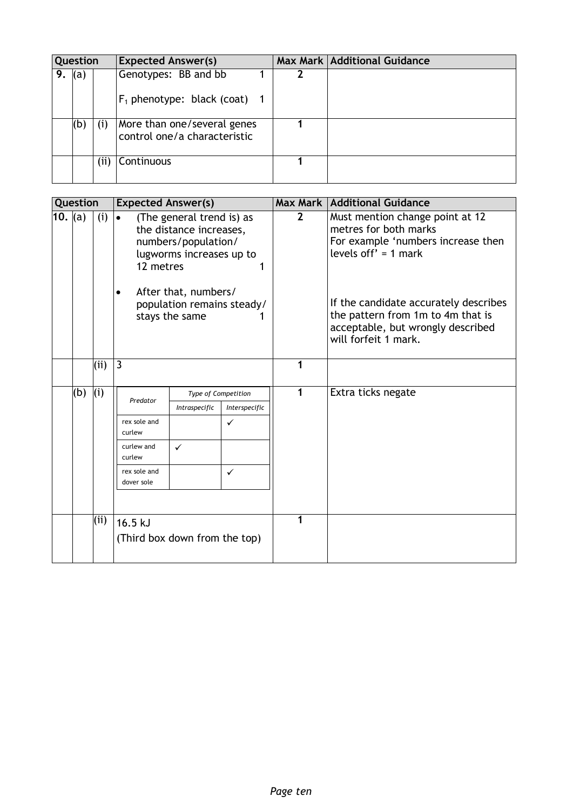| Question |     |      | <b>Expected Answer(s)</b>                                   |   | Max Mark   Additional Guidance |
|----------|-----|------|-------------------------------------------------------------|---|--------------------------------|
| 9.       | (a) |      | Genotypes: BB and bb<br>$F_1$ phenotype: black (coat) 1     | 2 |                                |
|          | (b) | (i)  | More than one/several genes<br>control one/a characteristic |   |                                |
|          |     | (ii) | Continuous                                                  |   |                                |

| Question |     |     | <b>Expected Answer(s)</b>     |                                                                                                         |                     |                | <b>Max Mark   Additional Guidance</b>                                                                                                   |
|----------|-----|-----|-------------------------------|---------------------------------------------------------------------------------------------------------|---------------------|----------------|-----------------------------------------------------------------------------------------------------------------------------------------|
| 10. (a)  |     | (i) | $\bullet$<br>12 metres        | (The general trend is) as<br>the distance increases,<br>numbers/population/<br>lugworms increases up to |                     | $\overline{2}$ | Must mention change point at 12<br>metres for both marks<br>For example 'numbers increase then<br>levels off' = $1$ mark                |
|          |     |     |                               | After that, numbers/<br>population remains steady/<br>stays the same                                    |                     |                | If the candidate accurately describes<br>the pattern from 1m to 4m that is<br>acceptable, but wrongly described<br>will forfeit 1 mark. |
|          |     | (i) | 3                             |                                                                                                         |                     | 1              |                                                                                                                                         |
|          | (b) | (i) |                               |                                                                                                         | Type of Competition |                | Extra ticks negate                                                                                                                      |
|          |     |     | Predator                      | Intraspecific                                                                                           | Interspecific       |                |                                                                                                                                         |
|          |     |     | rex sole and<br>curlew        |                                                                                                         | $\checkmark$        |                |                                                                                                                                         |
|          |     |     | curlew and<br>curlew          | $\checkmark$                                                                                            |                     |                |                                                                                                                                         |
|          |     |     | rex sole and<br>dover sole    |                                                                                                         | $\checkmark$        |                |                                                                                                                                         |
|          |     |     |                               |                                                                                                         |                     |                |                                                                                                                                         |
|          |     | (i) | $16.5$ kJ                     |                                                                                                         | 1                   |                |                                                                                                                                         |
|          |     |     | (Third box down from the top) |                                                                                                         |                     |                |                                                                                                                                         |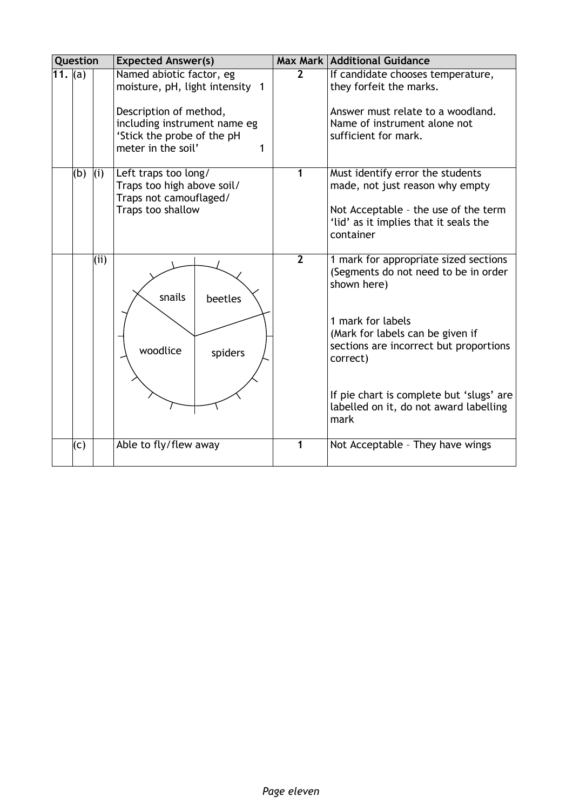|                       | Question |     | <b>Expected Answer(s)</b>                                                                                                                                                      |                | <b>Max Mark Additional Guidance</b>                                                                                                                                                                                                                                                                       |  |
|-----------------------|----------|-----|--------------------------------------------------------------------------------------------------------------------------------------------------------------------------------|----------------|-----------------------------------------------------------------------------------------------------------------------------------------------------------------------------------------------------------------------------------------------------------------------------------------------------------|--|
| $\overline{11}$ . (a) |          |     | Named abiotic factor, eg<br>moisture, pH, light intensity 1<br>Description of method,<br>including instrument name eg<br>'Stick the probe of the pH<br>meter in the soil'<br>1 | $\overline{2}$ | If candidate chooses temperature,<br>they forfeit the marks.<br>Answer must relate to a woodland.<br>Name of instrument alone not<br>sufficient for mark.                                                                                                                                                 |  |
|                       | (b)      | (i) | Left traps too long/<br>Traps too high above soil/<br>Traps not camouflaged/<br>Traps too shallow                                                                              | 1              | Must identify error the students<br>made, not just reason why empty<br>Not Acceptable - the use of the term<br>'lid' as it implies that it seals the<br>container                                                                                                                                         |  |
|                       |          | (i) | snails<br>beetles<br>woodlice<br>spiders                                                                                                                                       | $\overline{2}$ | 1 mark for appropriate sized sections<br>(Segments do not need to be in order<br>shown here)<br>1 mark for labels<br>(Mark for labels can be given if<br>sections are incorrect but proportions<br>correct)<br>If pie chart is complete but 'slugs' are<br>labelled on it, do not award labelling<br>mark |  |
|                       | (c)      |     | Able to fly/flew away                                                                                                                                                          | 1              | Not Acceptable - They have wings                                                                                                                                                                                                                                                                          |  |